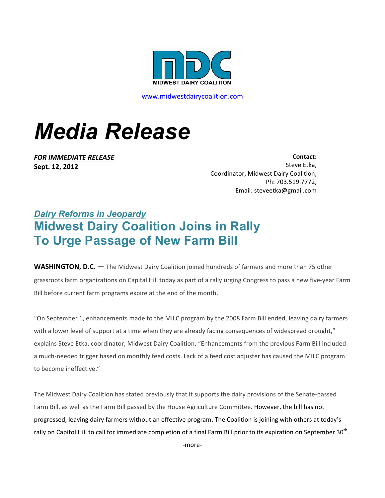

www.midwestdairycoalition.com

## *Media Release*

*FOR IMMEDIATE RELEASE* **Sept. 12, 2012**

**Contact:**  Steve Etka, Coordinator, Midwest Dairy Coalition, Ph: 703.519.7772, Email: steveetka@gmail.com

## *Dairy Reforms in Jeopardy* **Midwest Dairy Coalition Joins in Rally To Urge Passage of New Farm Bill**

**WASHINGTON, D.C.** — The Midwest Dairy Coalition joined hundreds of farmers and more than 75 other grassroots farm organizations on Capital Hill today as part of a rally urging Congress to pass a new five-year Farm Bill before current farm programs expire at the end of the month.

"On September 1, enhancements made to the MILC program by the 2008 Farm Bill ended, leaving dairy farmers with a lower level of support at a time when they are already facing consequences of widespread drought," explains Steve Etka, coordinator, Midwest Dairy Coalition. "Enhancements from the previous Farm Bill included a much-needed trigger based on monthly feed costs. Lack of a feed cost adjuster has caused the MILC program to become ineffective."

The Midwest Dairy Coalition has stated previously that it supports the dairy provisions of the Senate-passed Farm Bill, as well as the Farm Bill passed by the House Agriculture Committee. However, the bill has not progressed, leaving dairy farmers without an effective program. The Coalition is joining with others at today's rally on Capitol Hill to call for immediate completion of a final Farm Bill prior to its expiration on September 30<sup>th</sup>.

-more-